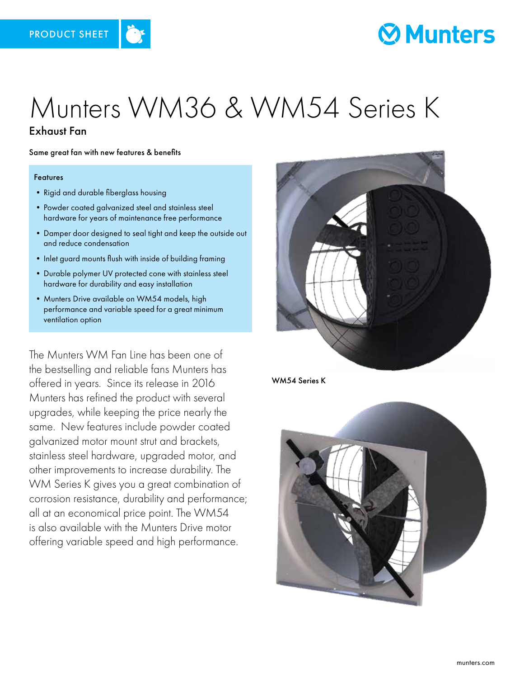

## **Munters**

# Munters WM36 & WM54 Series K

### Exhaust Fan

Same great fan with new features & benefits

#### Features

- Rigid and durable fiberglass housing
- •Powder coated galvanized steel and stainless steel hardware for years of maintenance free performance
- •Damper door designed to seal tight and keep the outside out and reduce condensation
- Inlet guard mounts flush with inside of building framing
- •Durable polymer UV protected cone with stainless steel hardware for durability and easy installation
- Munters Drive available on WM54 models, high performance and variable speed for a great minimum ventilation option

The Munters WM Fan Line has been one of the bestselling and reliable fans Munters has offered in years. Since its release in 2016 Munters has refined the product with several upgrades, while keeping the price nearly the same. New features include powder coated galvanized motor mount strut and brackets, stainless steel hardware, upgraded motor, and other improvements to increase durability. The WM Series K gives you a great combination of corrosion resistance, durability and performance; all at an economical price point. The WM54 is also available with the Munters Drive motor offering variable speed and high performance.



WM54 Series K